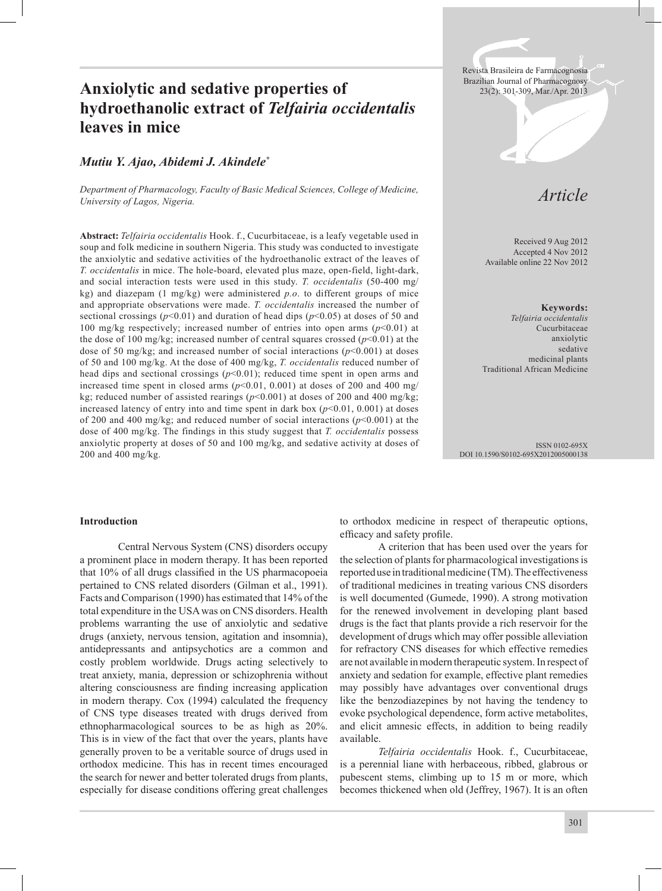# Anxiolytic and sedative properties of **Anxiolytic and sedative properties of** *23(2): 301-309, Mar./Apr. 2013* **hydroethanolic extract of** *Telfairia occidentalis* **leaves in mice**

# *Mutiu Y. Ajao, Abidemi J. Akindele\**

*Department of Pharmacology, Faculty of Basic Medical Sciences, College of Medicine, University of Lagos, Nigeria.*

**Abstract:** *Telfairia occidentalis* Hook. f., Cucurbitaceae, is a leafy vegetable used in soup and folk medicine in southern Nigeria. This study was conducted to investigate the anxiolytic and sedative activities of the hydroethanolic extract of the leaves of *T. occidentalis* in mice. The hole-board, elevated plus maze, open-field, light-dark, and social interaction tests were used in this study. *T. occidentalis* (50-400 mg/ kg) and diazepam (1 mg/kg) were administered *p.o*. to different groups of mice and appropriate observations were made. *T. occidentalis* increased the number of sectional crossings ( $p$ <0.01) and duration of head dips ( $p$ <0.05) at doses of 50 and 100 mg/kg respectively; increased number of entries into open arms  $(p<0.01)$  at the dose of 100 mg/kg; increased number of central squares crossed (*p*<0.01) at the dose of 50 mg/kg; and increased number of social interactions (*p*<0.001) at doses of 50 and 100 mg/kg. At the dose of 400 mg/kg, *T. occidentalis* reduced number of head dips and sectional crossings  $(p<0.01)$ ; reduced time spent in open arms and increased time spent in closed arms  $(p<0.01, 0.001)$  at doses of 200 and 400 mg/ kg; reduced number of assisted rearings  $(p<0.001)$  at doses of 200 and 400 mg/kg; increased latency of entry into and time spent in dark box  $(p<0.01, 0.001)$  at doses of 200 and 400 mg/kg; and reduced number of social interactions (*p*<0.001) at the dose of 400 mg/kg. The findings in this study suggest that *T. occidentalis* possess anxiolytic property at doses of 50 and 100 mg/kg, and sedative activity at doses of 200 and 400 mg/kg.

Revista Brasileira de Farmacognosia

# *Article*

Received 9 Aug 2012 Accepted 4 Nov 2012 Available online 22 Nov 2012

**Keywords:** *Telfairia occidentalis* Cucurbitaceae anxiolytic sedative medicinal plants Traditional African Medicine

ISSN 0102-695X DOI 10.1590/S0102-695X2012005000138

#### **Introduction**

 Central Nervous System (CNS) disorders occupy a prominent place in modern therapy. It has been reported that 10% of all drugs classified in the US pharmacopoeia pertained to CNS related disorders (Gilman et al., 1991). Facts and Comparison (1990) has estimated that 14% of the total expenditure in the USA was on CNS disorders. Health problems warranting the use of anxiolytic and sedative drugs (anxiety, nervous tension, agitation and insomnia), antidepressants and antipsychotics are a common and costly problem worldwide. Drugs acting selectively to treat anxiety, mania, depression or schizophrenia without altering consciousness are finding increasing application in modern therapy. Cox (1994) calculated the frequency of CNS type diseases treated with drugs derived from ethnopharmacological sources to be as high as 20%. This is in view of the fact that over the years, plants have generally proven to be a veritable source of drugs used in orthodox medicine. This has in recent times encouraged the search for newer and better tolerated drugs from plants, especially for disease conditions offering great challenges

to orthodox medicine in respect of therapeutic options, efficacy and safety profile.

 A criterion that has been used over the years for the selection of plants for pharmacological investigations is reported use in traditional medicine (TM). The effectiveness of traditional medicines in treating various CNS disorders is well documented (Gumede, 1990). A strong motivation for the renewed involvement in developing plant based drugs is the fact that plants provide a rich reservoir for the development of drugs which may offer possible alleviation for refractory CNS diseases for which effective remedies are not available in modern therapeutic system. In respect of anxiety and sedation for example, effective plant remedies may possibly have advantages over conventional drugs like the benzodiazepines by not having the tendency to evoke psychological dependence, form active metabolites, and elicit amnesic effects, in addition to being readily available.

*Telfairia occidentalis* Hook. f., Cucurbitaceae, is a perennial liane with herbaceous, ribbed, glabrous or pubescent stems, climbing up to 15 m or more, which becomes thickened when old (Jeffrey, 1967). It is an often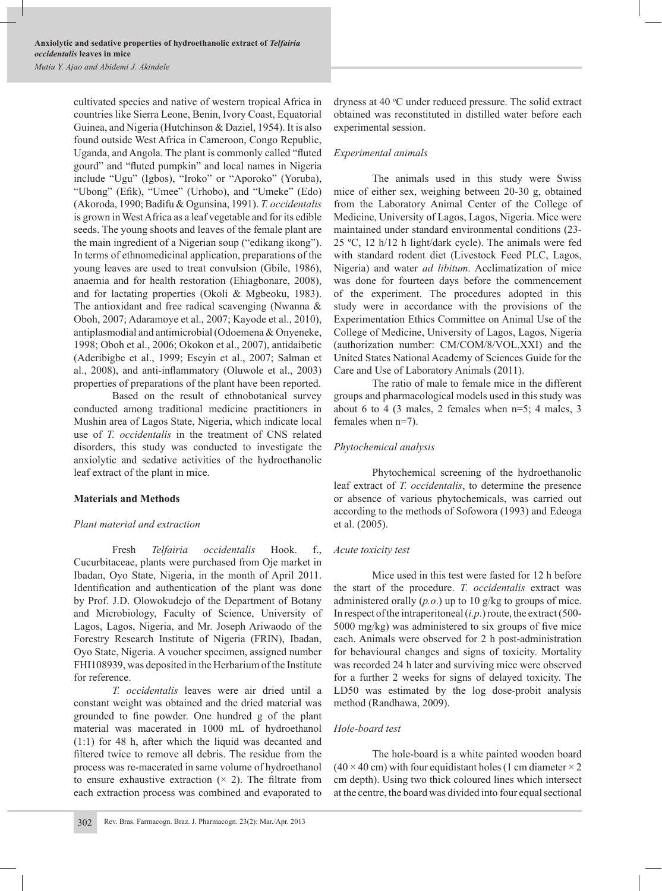cultivated species and native of western tropical Africa in countries like Sierra Leone, Benin, Ivory Coast, Equatorial Guinea, and Nigeria (Hutchinson & Daziel, 1954). It is also found outside West Africa in Cameroon, Congo Republic, Uganda, and Angola. The plant is commonly called "fluted gourd" and "fluted pumpkin" and local names in Nigeria include "Ugu" (Igbos), "Iroko" or "Aporoko" (Yoruba), "Ubong" (Efik), "Umee" (Urhobo), and "Umeke" (Edo) (Akoroda, 1990; Badifu & Ogunsina, 1991). *T. occidentalis* is grown in West Africa as a leaf vegetable and for its edible seeds. The young shoots and leaves of the female plant are the main ingredient of a Nigerian soup ("edikang ikong"). In terms of ethnomedicinal application, preparations of the young leaves are used to treat convulsion (Gbile, 1986), anaemia and for health restoration (Ehiagbonare, 2008), and for lactating properties (Okoli & Mgbeoku, 1983). The antioxidant and free radical scavenging (Nwanna & Oboh, 2007; Adaramoye et al., 2007; Kayode et al., 2010), antiplasmodial and antimicrobial (Odoemena & Onyeneke, 1998; Oboh et al., 2006; Okokon et al., 2007), antidaibetic (Aderibigbe et al., 1999; Eseyin et al., 2007; Salman et al., 2008), and anti-inflammatory (Oluwole et al., 2003) properties of preparations of the plant have been reported.

Based on the result of ethnobotanical survey conducted among traditional medicine practitioners in Mushin area of Lagos State, Nigeria, which indicate local use of *T. occidentalis* in the treatment of CNS related disorders, this study was conducted to investigate the anxiolytic and sedative activities of the hydroethanolic leaf extract of the plant in mice.

## **Materials and Methods**

## *Plant material and extraction*

Fresh *Telfairia occidentalis* Hook. f., Cucurbitaceae, plants were purchased from Oje market in Ibadan, Oyo State, Nigeria, in the month of April 2011. Identification and authentication of the plant was done by Prof. J.D. Olowokudejo of the Department of Botany and Microbiology, Faculty of Science, University of Lagos, Lagos, Nigeria, and Mr. Joseph Ariwaodo of the Forestry Research Institute of Nigeria (FRIN), Ibadan, Oyo State, Nigeria. A voucher specimen, assigned number FHI108939, was deposited in the Herbarium of the Institute for reference.

*T. occidentalis* leaves were air dried until a constant weight was obtained and the dried material was grounded to fine powder. One hundred g of the plant material was macerated in 1000 mL of hydroethanol (1:1) for 48 h, after which the liquid was decanted and filtered twice to remove all debris. The residue from the process was re-macerated in same volume of hydroethanol to ensure exhaustive extraction  $(x, 2)$ . The filtrate from each extraction process was combined and evaporated to

dryness at 40 °C under reduced pressure. The solid extract obtained was reconstituted in distilled water before each experimental session.

#### *Experimental animals*

The animals used in this study were Swiss mice of either sex, weighing between 20-30 g, obtained from the Laboratory Animal Center of the College of Medicine, University of Lagos, Lagos, Nigeria. Mice were maintained under standard environmental conditions (23- 25 ºC, 12 h/12 h light/dark cycle). The animals were fed with standard rodent diet (Livestock Feed PLC, Lagos, Nigeria) and water *ad libitum*. Acclimatization of mice was done for fourteen days before the commencement of the experiment. The procedures adopted in this study were in accordance with the provisions of the Experimentation Ethics Committee on Animal Use of the College of Medicine, University of Lagos, Lagos, Nigeria (authorization number: CM/COM/8/VOL.XXI) and the United States National Academy of Sciences Guide for the Care and Use of Laboratory Animals (2011).

The ratio of male to female mice in the different groups and pharmacological models used in this study was about 6 to 4 (3 males, 2 females when n=5; 4 males, 3 females when n=7).

## *Phytochemical analysis*

Phytochemical screening of the hydroethanolic leaf extract of *T. occidentalis*, to determine the presence or absence of various phytochemicals, was carried out according to the methods of Sofowora (1993) and Edeoga et al. (2005).

#### *Acute toxicity test*

Mice used in this test were fasted for 12 h before the start of the procedure. *T. occidentalis* extract was administered orally (*p.o*.) up to 10 g/kg to groups of mice. In respect of the intraperitoneal (*i.p*.) route, the extract (500- 5000 mg/kg) was administered to six groups of five mice each. Animals were observed for 2 h post-administration for behavioural changes and signs of toxicity. Mortality was recorded 24 h later and surviving mice were observed for a further 2 weeks for signs of delayed toxicity. The LD50 was estimated by the log dose-probit analysis method (Randhawa, 2009).

## *Hole-board test*

The hole-board is a white painted wooden board  $(40 \times 40 \text{ cm})$  with four equidistant holes (1 cm diameter  $\times 2$ ) cm depth). Using two thick coloured lines which intersect at the centre, the board was divided into four equal sectional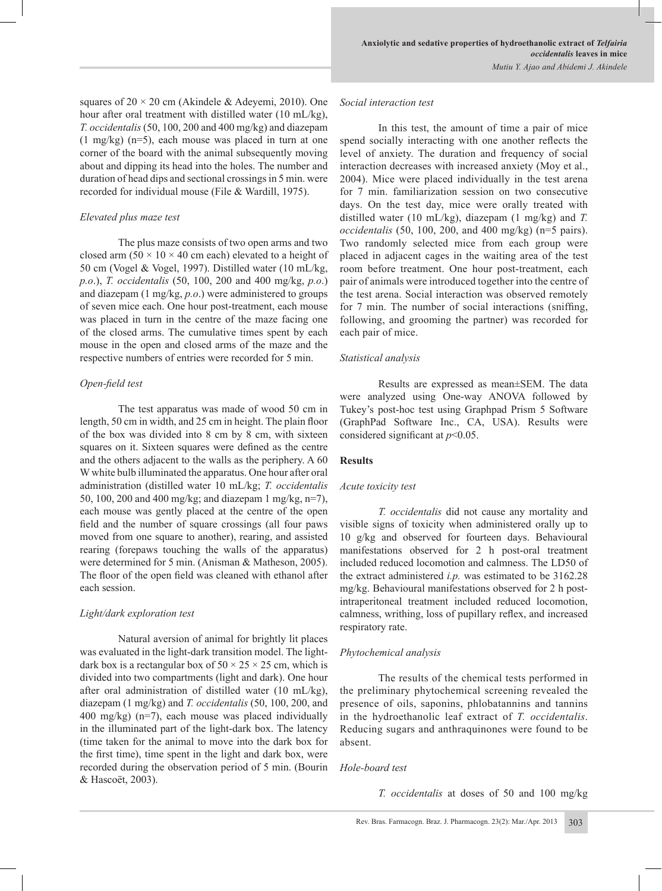squares of  $20 \times 20$  cm (Akindele & Adeyemi, 2010). One hour after oral treatment with distilled water (10 mL/kg), *T. occidentalis* (50, 100, 200 and 400 mg/kg) and diazepam (1 mg/kg) (n=5), each mouse was placed in turn at one corner of the board with the animal subsequently moving about and dipping its head into the holes. The number and duration of head dips and sectional crossings in 5 min. were recorded for individual mouse (File & Wardill, 1975).

#### *Elevated plus maze test*

The plus maze consists of two open arms and two closed arm  $(50 \times 10 \times 40$  cm each) elevated to a height of 50 cm (Vogel & Vogel, 1997). Distilled water (10 mL/kg, *p.o*.), *T. occidentalis* (50, 100, 200 and 400 mg/kg, *p.o*.) and diazepam (1 mg/kg, *p.o*.) were administered to groups of seven mice each. One hour post-treatment, each mouse was placed in turn in the centre of the maze facing one of the closed arms. The cumulative times spent by each mouse in the open and closed arms of the maze and the respective numbers of entries were recorded for 5 min.

## *Open-field test*

The test apparatus was made of wood 50 cm in length, 50 cm in width, and 25 cm in height. The plain floor of the box was divided into 8 cm by 8 cm, with sixteen squares on it. Sixteen squares were defined as the centre and the others adjacent to the walls as the periphery. A 60 W white bulb illuminated the apparatus. One hour after oral administration (distilled water 10 mL/kg; *T. occidentalis* 50, 100, 200 and 400 mg/kg; and diazepam 1 mg/kg, n=7), each mouse was gently placed at the centre of the open field and the number of square crossings (all four paws moved from one square to another), rearing, and assisted rearing (forepaws touching the walls of the apparatus) were determined for 5 min. (Anisman & Matheson, 2005). The floor of the open field was cleaned with ethanol after each session.

## *Light/dark exploration test*

Natural aversion of animal for brightly lit places was evaluated in the light-dark transition model. The lightdark box is a rectangular box of  $50 \times 25 \times 25$  cm, which is divided into two compartments (light and dark). One hour after oral administration of distilled water (10 mL/kg), diazepam (1 mg/kg) and *T. occidentalis* (50, 100, 200, and 400 mg/kg) (n=7), each mouse was placed individually in the illuminated part of the light-dark box. The latency (time taken for the animal to move into the dark box for the first time), time spent in the light and dark box, were recorded during the observation period of 5 min. (Bourin & Hascoët, 2003).

#### *Social interaction test*

In this test, the amount of time a pair of mice spend socially interacting with one another reflects the level of anxiety. The duration and frequency of social interaction decreases with increased anxiety (Moy et al., 2004). Mice were placed individually in the test arena for 7 min. familiarization session on two consecutive days. On the test day, mice were orally treated with distilled water (10 mL/kg), diazepam (1 mg/kg) and *T. occidentalis* (50, 100, 200, and 400 mg/kg) (n=5 pairs). Two randomly selected mice from each group were placed in adjacent cages in the waiting area of the test room before treatment. One hour post-treatment, each pair of animals were introduced together into the centre of the test arena. Social interaction was observed remotely for 7 min. The number of social interactions (sniffing, following, and grooming the partner) was recorded for each pair of mice.

## *Statistical analysis*

Results are expressed as mean±SEM. The data were analyzed using One-way ANOVA followed by Tukey's post-hoc test using Graphpad Prism 5 Software (GraphPad Software Inc., CA, USA). Results were considered significant at *p*<0.05.

## **Results**

## *Acute toxicity test*

*T. occidentalis* did not cause any mortality and visible signs of toxicity when administered orally up to 10 g/kg and observed for fourteen days. Behavioural manifestations observed for 2 h post-oral treatment included reduced locomotion and calmness. The LD50 of the extract administered *i.p.* was estimated to be 3162.28 mg/kg. Behavioural manifestations observed for 2 h postintraperitoneal treatment included reduced locomotion, calmness, writhing, loss of pupillary reflex, and increased respiratory rate.

# *Phytochemical analysis*

The results of the chemical tests performed in the preliminary phytochemical screening revealed the presence of oils, saponins, phlobatannins and tannins in the hydroethanolic leaf extract of *T. occidentalis*. Reducing sugars and anthraquinones were found to be absent.

## *Hole-board test*

*T. occidentalis* at doses of 50 and 100 mg/kg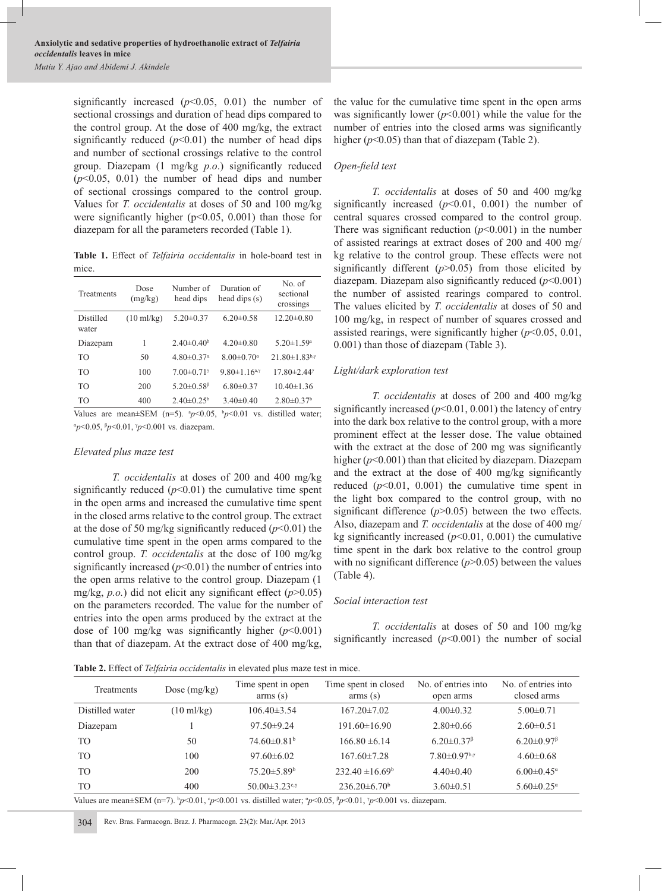significantly increased  $(p<0.05, 0.01)$  the number of sectional crossings and duration of head dips compared to the control group. At the dose of 400 mg/kg, the extract significantly reduced  $(p<0.01)$  the number of head dips and number of sectional crossings relative to the control group. Diazepam (1 mg/kg *p.o*.) significantly reduced  $(p<0.05, 0.01)$  the number of head dips and number of sectional crossings compared to the control group. Values for *T. occidentalis* at doses of 50 and 100 mg/kg were significantly higher  $(p<0.05, 0.001)$  than those for diazepam for all the parameters recorded (Table 1).

**Table 1.** Effect of *Telfairia occidentalis* in hole-board test in mice.

| Treatments         | Dose<br>(mg/kg)      | Number of<br>head dips       | Duration of<br>head dips (s)                     | No. of<br>sectional<br>crossings |
|--------------------|----------------------|------------------------------|--------------------------------------------------|----------------------------------|
| Distilled<br>water | $(10 \text{ ml/kg})$ | $5.20 \pm 0.37$              | $6.20 \pm 0.58$                                  | $12.20 \pm 0.80$                 |
| Diazepam           | 1                    | $2.40\pm0.40^b$              | $4.20 \pm 0.80$                                  | $5.20 \pm 1.59^{\circ}$          |
| T <sub>O</sub>     | 50                   | $4.80 \pm 0.37$ <sup>a</sup> | $8.00 \pm 0.70^{\circ}$                          | $21.80 \pm 1.83$ b,y             |
| TO <sub>1</sub>    | 100                  | $7.00 \pm 0.71$ <sup>*</sup> | 9.80 $\pm$ 1.16 <sup>a,<math>\gamma</math></sup> | $17.80 \pm 2.44$                 |
| TO                 | 200                  | 5.20 $\pm$ 0.58 $\beta$      | $6.80\pm0.37$                                    | $10.40 \pm 1.36$                 |
| TO                 | 400                  | $2.40\pm0.25^{\circ}$        | $3.40\pm0.40$                                    | $2.80 \pm 0.37$ <sup>b</sup>     |

Values are mean $\pm$ SEM (n=5).  $\frac{p}{0.05}$ ,  $\frac{b}{p}$  < 0.01 vs. distilled water; α *p*<0.05, <sup>β</sup> *p*<0.01, <sup>γ</sup> *p*<0.001 vs. diazepam.

#### *Elevated plus maze test*

*T. occidentalis* at doses of 200 and 400 mg/kg significantly reduced  $(p<0.01)$  the cumulative time spent in the open arms and increased the cumulative time spent in the closed arms relative to the control group. The extract at the dose of 50 mg/kg significantly reduced  $(p<0.01)$  the cumulative time spent in the open arms compared to the control group. *T. occidentalis* at the dose of 100 mg/kg significantly increased  $(p<0.01)$  the number of entries into the open arms relative to the control group. Diazepam (1 mg/kg, *p.o.*) did not elicit any significant effect (*p*>0.05) on the parameters recorded. The value for the number of entries into the open arms produced by the extract at the dose of 100 mg/kg was significantly higher (*p*<0.001) than that of diazepam. At the extract dose of 400 mg/kg,

the value for the cumulative time spent in the open arms was significantly lower  $(p<0.001)$  while the value for the number of entries into the closed arms was significantly higher ( $p$ <0.05) than that of diazepam (Table 2).

#### *Open-field test*

*T. occidentalis* at doses of 50 and 400 mg/kg significantly increased  $(p<0.01, 0.001)$  the number of central squares crossed compared to the control group. There was significant reduction  $(p<0.001)$  in the number of assisted rearings at extract doses of 200 and 400 mg/ kg relative to the control group. These effects were not significantly different  $(p>0.05)$  from those elicited by diazepam. Diazepam also significantly reduced (*p*<0.001) the number of assisted rearings compared to control. The values elicited by *T. occidentalis* at doses of 50 and 100 mg/kg, in respect of number of squares crossed and assisted rearings, were significantly higher (*p*<0.05, 0.01, 0.001) than those of diazepam (Table 3).

## *Light/dark exploration test*

*T. occidentalis* at doses of 200 and 400 mg/kg significantly increased  $(p<0.01, 0.001)$  the latency of entry into the dark box relative to the control group, with a more prominent effect at the lesser dose. The value obtained with the extract at the dose of 200 mg was significantly higher ( $p$ <0.001) than that elicited by diazepam. Diazepam and the extract at the dose of 400 mg/kg significantly reduced  $(p<0.01, 0.001)$  the cumulative time spent in the light box compared to the control group, with no significant difference  $(p>0.05)$  between the two effects. Also, diazepam and *T. occidentalis* at the dose of 400 mg/ kg significantly increased  $(p<0.01, 0.001)$  the cumulative time spent in the dark box relative to the control group with no significant difference  $(p>0.05)$  between the values (Table 4).

## *Social interaction test*

*T. occidentalis* at doses of 50 and 100 mg/kg significantly increased  $(p<0.001)$  the number of social

**Table 2.** Effect of *Telfairia occidentalis* in elevated plus maze test in mice.

| Treatments                                                                                                                                | Dose $(mg/kg)$       | Time spent in open<br>$\sum$ arms $(s)$ | Time spent in closed<br>$\sum$ (s) | No. of entries into<br>open arms                 | No. of entries into<br>closed arms            |
|-------------------------------------------------------------------------------------------------------------------------------------------|----------------------|-----------------------------------------|------------------------------------|--------------------------------------------------|-----------------------------------------------|
| Distilled water                                                                                                                           | $(10 \text{ ml/kg})$ | $106.40\pm3.54$                         | $167.20 \pm 7.02$                  | $4.00 \pm 0.32$                                  | $5.00 \pm 0.71$                               |
| Diazepam                                                                                                                                  |                      | $97.50 \pm 9.24$                        | $191.60 \pm 16.90$                 | $2.80\pm0.66$                                    | $2.60 \pm 0.51$                               |
| T <sub>O</sub>                                                                                                                            | 50                   | $74.60\pm0.81b$                         | $166.80 \pm 6.14$                  | $6.20 \pm 0.37$ <sup><math>\beta</math></sup>    | $6.20 \pm 0.97$ <sup><math>\beta</math></sup> |
| T <sub>O</sub>                                                                                                                            | 100                  | $97.60\pm 6.02$                         | $167.60 \pm 7.28$                  | $7.80 \pm 0.97$ <sup>b,<math>\gamma</math></sup> | $4.60 \pm 0.68$                               |
| T <sub>O</sub>                                                                                                                            | 200                  | $75.20 \pm 5.89$ <sup>b</sup>           | $232.40 \pm 16.69^b$               | $4.40\pm0.40$                                    | $6.00 \pm 0.45^{\alpha}$                      |
| T <sub>O</sub>                                                                                                                            | 400                  | 50.00 $\pm$ 3.23°.7                     | $236.20\pm6.70^b$                  | $3.60\pm0.51$                                    | $5.60 \pm 0.25^{\alpha}$                      |
| Values are mean $\pm$ SEM (n=7), $b_p$ <0.01, $c_p$ <0.001 vs. distilled water: $a_p$ <0.05, $b_p$ <0.01, $\gamma_p$ <0.001 vs. diazepam. |                      |                                         |                                    |                                                  |                                               |

Values are mean $\pm$ SEM (n=7). b *p*<0.01, c  $p$ <0.001 vs. distilled water;  $\degree$ *p*<0.05, <sup>β</sup> *p*<0.01, <sup>γ</sup> *p*<0.001 vs. diazepam.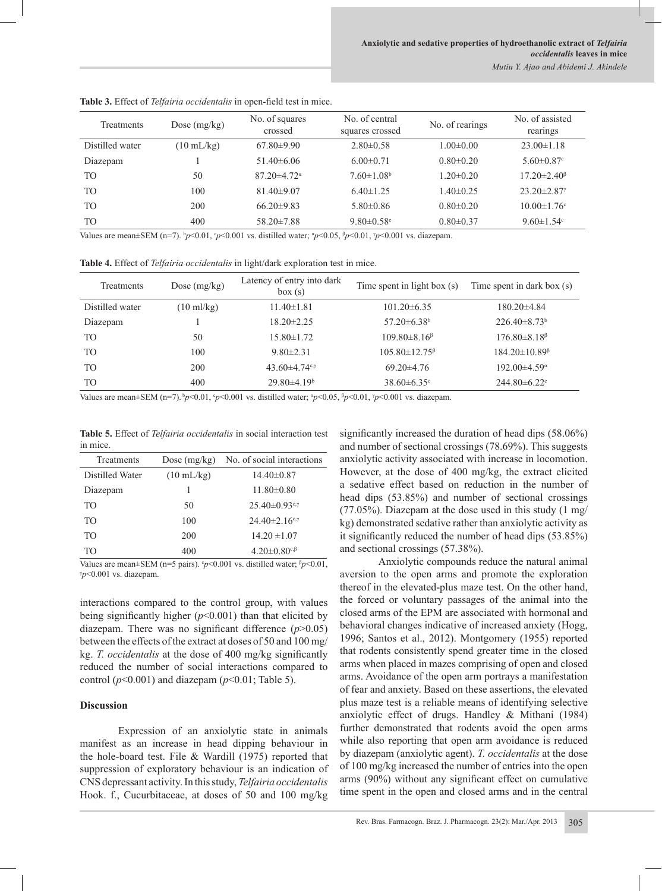| <b>Treatments</b> | Dose $(mg/kg)$       | No. of squares<br>crossed     | No. of central<br>squares crossed | No. of rearings | No. of assisted<br>rearings     |
|-------------------|----------------------|-------------------------------|-----------------------------------|-----------------|---------------------------------|
| Distilled water   | $(10 \text{ mL/kg})$ | $67.80\pm9.90$                | $2.80\pm0.58$                     | $1.00 \pm 0.00$ | $23.00 \pm 1.18$                |
| Diazepam          |                      | $51.40\pm 6.06$               | $6.00 \pm 0.71$                   | $0.80 \pm 0.20$ | $5.60 \pm 0.87$ °               |
| T <sub>O</sub>    | 50                   | $87.20 \pm 4.72$ <sup>a</sup> | $7.60 \pm 1.08$ <sup>b</sup>      | $1.20 \pm 0.20$ | $17.20 \pm 2.40^{\circ}$        |
| T <sub>O</sub>    | 100                  | $81.40\pm9.07$                | $6.40 \pm 1.25$                   | $1.40 \pm 0.25$ | $23.20 \pm 2.87$                |
| T <sub>O</sub>    | 200                  | $66.20\pm9.83$                | $5.80\pm0.86$                     | $0.80 \pm 0.20$ | $10.00 \pm 1.76$ °              |
| T <sub>O</sub>    | 400                  | $58.20 \pm 7.88$              | $9.80 \pm 0.58$ <sup>c</sup>      | $0.80 \pm 0.37$ | 9.60 $\pm$ 1.54 $\rm{^{\circ}}$ |

**Table 3.** Effect of *Telfairia occidentalis* in open-field test in mice.

Values are mean $\pm$ SEM (n=7).  $\frac{b}{2}$  /> 0.001,  $\frac{c}{2}$  /> 0.001 vs. distilled water;  $\frac{a}{2}$ //0.05,  $\frac{b}{2}$ //0.001,  $\frac{y}{2}$ //0.001 vs. diazepam.

**Table 4.** Effect of *Telfairia occidentalis* in light/dark exploration test in mice.

| Treatments      | Dose $(mg/kg)$       | Latency of entry into dark<br>box(s) | Time spent in light box (s)   | Time spent in dark box (s) |
|-----------------|----------------------|--------------------------------------|-------------------------------|----------------------------|
| Distilled water | $(10 \text{ ml/kg})$ | $11.40 \pm 1.81$                     | $101.20 \pm 6.35$             | 180.20±4.84                |
| Diazepam        |                      | $18.20 \pm 2.25$                     | $57.20 \pm 6.38$ <sup>b</sup> | $226.40\pm8.73^b$          |
| T <sub>O</sub>  | 50                   | 15.80±1.72                           | $109.80\pm8.16^{\circ}$       | $176.80\pm8.18^{\circ}$    |
| T <sub>O</sub>  | 100                  | $9.80 \pm 2.31$                      | $105.80 \pm 12.75^{\beta}$    | $184.20 \pm 10.89^{\circ}$ |
| T <sub>O</sub>  | 200                  | 43.60 $\pm$ 4.74 $\cdot$             | $69.20 \pm 4.76$              | $192.00\pm4.59^{\circ}$    |
| T <sub>O</sub>  | 400                  | $29.80\pm4.19^b$                     | $38.60 \pm 6.35$ <sup>c</sup> | $244.80 \pm 6.22$          |

Values are mean $\pm$ SEM (n=7).  $\frac{b}{2}$  (0.01,  $\frac{c}{2}$  /0.001 vs. distilled water;  $\frac{a}{2}$  /0.05,  $\frac{b}{2}$  /0.01,  $\frac{b}{2}$  /0.001 vs. diazepam.

**Table 5.** Effect of *Telfairia occidentalis* in social interaction test in mice.

| Treatments      | Dose $(mg/kg)$       | No. of social interactions                        |
|-----------------|----------------------|---------------------------------------------------|
| Distilled Water | $(10 \text{ mL/kg})$ | $14.40\pm0.87$                                    |
| Diazepam        |                      | $11.80 \pm 0.80$                                  |
| TO <sub>1</sub> | 50                   | $25.40 \pm 0.93$ <sup>c,γ</sup>                   |
| TO <sub>1</sub> | 100                  | $24.40 \pm 2.16$ <sup>c,<math>\gamma</math></sup> |
| TO <sub>1</sub> | 200                  | $14.20 \pm 1.07$                                  |
| TO              | 400                  | $4.20 \pm 0.80$ <sup>c,<math>\beta</math></sup>   |

Values are mean $\pm$ SEM (n=5 pairs).  $\gamma$  < 0.001 vs. distilled water;  $\beta$ *p* < 0.01, γ *p*<0.001 vs. diazepam.

interactions compared to the control group, with values being significantly higher (*p*<0.001) than that elicited by diazepam. There was no significant difference (*p*>0.05) between the effects of the extract at doses of 50 and 100 mg/ kg. *T. occidentalis* at the dose of 400 mg/kg significantly reduced the number of social interactions compared to control ( $p<0.001$ ) and diazepam ( $p<0.01$ ; Table 5).

#### **Discussion**

Expression of an anxiolytic state in animals manifest as an increase in head dipping behaviour in the hole-board test. File & Wardill (1975) reported that suppression of exploratory behaviour is an indication of CNS depressant activity. In this study, *Telfairia occidentalis*  Hook. f., Cucurbitaceae, at doses of 50 and 100 mg/kg

significantly increased the duration of head dips (58.06%) and number of sectional crossings (78.69%). This suggests anxiolytic activity associated with increase in locomotion. However, at the dose of 400 mg/kg, the extract elicited a sedative effect based on reduction in the number of head dips (53.85%) and number of sectional crossings (77.05%). Diazepam at the dose used in this study (1 mg/ kg) demonstrated sedative rather than anxiolytic activity as it significantly reduced the number of head dips (53.85%) and sectional crossings (57.38%).

Anxiolytic compounds reduce the natural animal aversion to the open arms and promote the exploration thereof in the elevated-plus maze test. On the other hand, the forced or voluntary passages of the animal into the closed arms of the EPM are associated with hormonal and behavioral changes indicative of increased anxiety (Hogg, 1996; Santos et al., 2012). Montgomery (1955) reported that rodents consistently spend greater time in the closed arms when placed in mazes comprising of open and closed arms. Avoidance of the open arm portrays a manifestation of fear and anxiety. Based on these assertions, the elevated plus maze test is a reliable means of identifying selective anxiolytic effect of drugs. Handley & Mithani (1984) further demonstrated that rodents avoid the open arms while also reporting that open arm avoidance is reduced by diazepam (anxiolytic agent). *T. occidentalis* at the dose of 100 mg/kg increased the number of entries into the open arms (90%) without any significant effect on cumulative time spent in the open and closed arms and in the central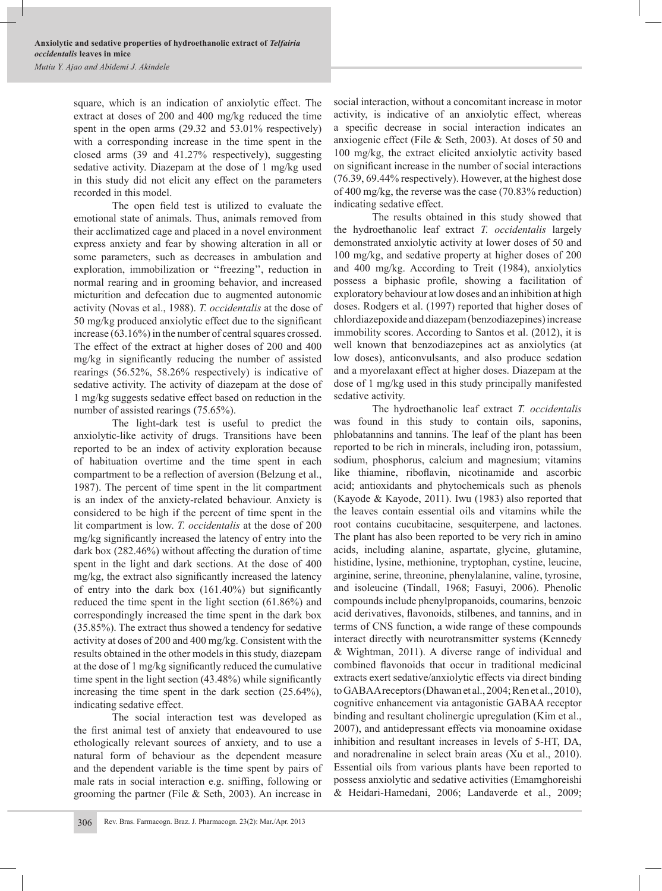square, which is an indication of anxiolytic effect. The extract at doses of 200 and 400 mg/kg reduced the time spent in the open arms (29.32 and 53.01% respectively) with a corresponding increase in the time spent in the closed arms (39 and 41.27% respectively), suggesting sedative activity. Diazepam at the dose of 1 mg/kg used in this study did not elicit any effect on the parameters recorded in this model.

The open field test is utilized to evaluate the emotional state of animals. Thus, animals removed from their acclimatized cage and placed in a novel environment express anxiety and fear by showing alteration in all or some parameters, such as decreases in ambulation and exploration, immobilization or ''freezing'', reduction in normal rearing and in grooming behavior, and increased micturition and defecation due to augmented autonomic activity (Novas et al., 1988). *T. occidentalis* at the dose of 50 mg/kg produced anxiolytic effect due to the significant increase (63.16%) in the number of central squares crossed. The effect of the extract at higher doses of 200 and 400 mg/kg in significantly reducing the number of assisted rearings (56.52%, 58.26% respectively) is indicative of sedative activity. The activity of diazepam at the dose of 1 mg/kg suggests sedative effect based on reduction in the number of assisted rearings (75.65%).

The light-dark test is useful to predict the anxiolytic-like activity of drugs. Transitions have been reported to be an index of activity exploration because of habituation overtime and the time spent in each compartment to be a reflection of aversion (Belzung et al., 1987). The percent of time spent in the lit compartment is an index of the anxiety-related behaviour. Anxiety is considered to be high if the percent of time spent in the lit compartment is low. *T. occidentalis* at the dose of 200 mg/kg significantly increased the latency of entry into the dark box (282.46%) without affecting the duration of time spent in the light and dark sections. At the dose of 400 mg/kg, the extract also significantly increased the latency of entry into the dark box (161.40%) but significantly reduced the time spent in the light section (61.86%) and correspondingly increased the time spent in the dark box (35.85%). The extract thus showed a tendency for sedative activity at doses of 200 and 400 mg/kg. Consistent with the results obtained in the other models in this study, diazepam at the dose of 1 mg/kg significantly reduced the cumulative time spent in the light section (43.48%) while significantly increasing the time spent in the dark section (25.64%), indicating sedative effect.

The social interaction test was developed as the first animal test of anxiety that endeavoured to use ethologically relevant sources of anxiety, and to use a natural form of behaviour as the dependent measure and the dependent variable is the time spent by pairs of male rats in social interaction e.g. sniffing, following or grooming the partner (File & Seth, 2003). An increase in

social interaction, without a concomitant increase in motor activity, is indicative of an anxiolytic effect, whereas a specific decrease in social interaction indicates an anxiogenic effect (File & Seth, 2003). At doses of 50 and 100 mg/kg, the extract elicited anxiolytic activity based on significant increase in the number of social interactions (76.39, 69.44% respectively). However, at the highest dose of 400 mg/kg, the reverse was the case (70.83% reduction) indicating sedative effect.

The results obtained in this study showed that the hydroethanolic leaf extract *T. occidentalis* largely demonstrated anxiolytic activity at lower doses of 50 and 100 mg/kg, and sedative property at higher doses of 200 and 400 mg/kg. According to Treit (1984), anxiolytics possess a biphasic profile, showing a facilitation of exploratory behaviour at low doses and an inhibition at high doses. Rodgers et al. (1997) reported that higher doses of chlordiazepoxide and diazepam (benzodiazepines) increase immobility scores. According to Santos et al. (2012), it is well known that benzodiazepines act as anxiolytics (at low doses), anticonvulsants, and also produce sedation and a myorelaxant effect at higher doses. Diazepam at the dose of 1 mg/kg used in this study principally manifested sedative activity.

The hydroethanolic leaf extract *T. occidentalis*  was found in this study to contain oils, saponins, phlobatannins and tannins. The leaf of the plant has been reported to be rich in minerals, including iron, potassium, sodium, phosphorus, calcium and magnesium; vitamins like thiamine, riboflavin, nicotinamide and ascorbic acid; antioxidants and phytochemicals such as phenols (Kayode & Kayode, 2011). Iwu (1983) also reported that the leaves contain essential oils and vitamins while the root contains cucubitacine, sesquiterpene, and lactones. The plant has also been reported to be very rich in amino acids, including alanine, aspartate, glycine, glutamine, histidine, lysine, methionine, tryptophan, cystine, leucine, arginine, serine, threonine, phenylalanine, valine, tyrosine, and isoleucine (Tindall, 1968; Fasuyi, 2006). Phenolic compounds include phenylpropanoids, coumarins, benzoic acid derivatives, flavonoids, stilbenes, and tannins, and in terms of CNS function, a wide range of these compounds interact directly with neurotransmitter systems (Kennedy & Wightman, 2011). A diverse range of individual and combined flavonoids that occur in traditional medicinal extracts exert sedative/anxiolytic effects via direct binding to GABAA receptors (Dhawan et al., 2004; Ren et al., 2010), cognitive enhancement via antagonistic GABAA receptor binding and resultant cholinergic upregulation (Kim et al., 2007), and antidepressant effects via monoamine oxidase inhibition and resultant increases in levels of 5-HT, DA, and noradrenaline in select brain areas (Xu et al., 2010). Essential oils from various plants have been reported to possess anxiolytic and sedative activities (Emamghoreishi & Heidari-Hamedani, 2006; Landaverde et al., 2009;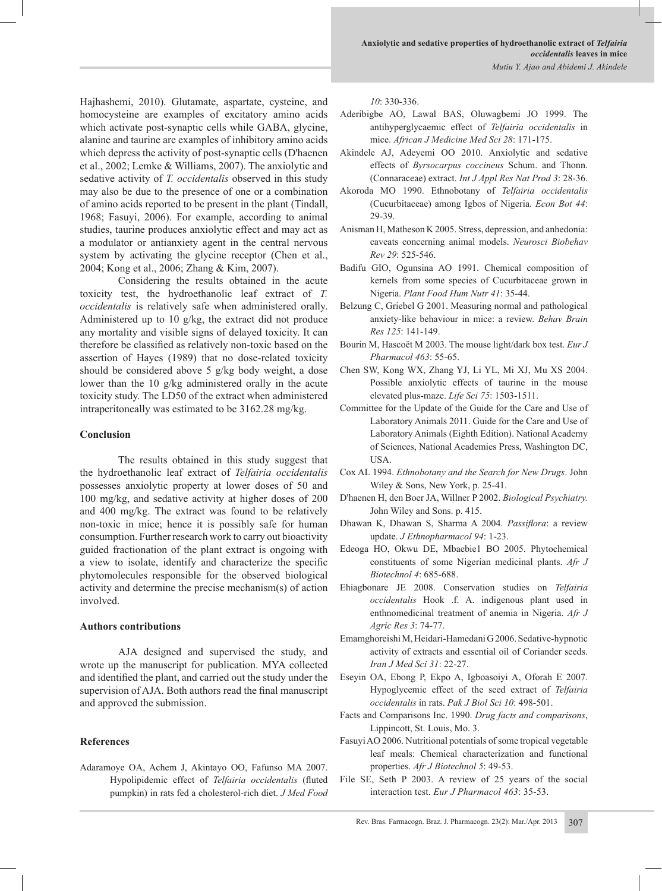Hajhashemi, 2010). Glutamate, aspartate, cysteine, and homocysteine are examples of excitatory amino acids which activate post-synaptic cells while GABA, glycine, alanine and taurine are examples of inhibitory amino acids which depress the activity of post-synaptic cells (D'haenen et al., 2002; Lemke & Williams, 2007). The anxiolytic and sedative activity of *T. occidentalis* observed in this study may also be due to the presence of one or a combination of amino acids reported to be present in the plant (Tindall, 1968; Fasuyi, 2006). For example, according to animal studies, taurine produces anxiolytic effect and may act as a modulator or antianxiety agent in the central nervous system by activating the glycine receptor (Chen et al., 2004; Kong et al., 2006; Zhang & Kim, 2007).

Considering the results obtained in the acute toxicity test, the hydroethanolic leaf extract of *T. occidentalis* is relatively safe when administered orally. Administered up to 10 g/kg, the extract did not produce any mortality and visible signs of delayed toxicity. It can therefore be classified as relatively non-toxic based on the assertion of Hayes (1989) that no dose-related toxicity should be considered above 5 g/kg body weight, a dose lower than the 10 g/kg administered orally in the acute toxicity study. The LD50 of the extract when administered intraperitoneally was estimated to be 3162.28 mg/kg.

#### **Conclusion**

The results obtained in this study suggest that the hydroethanolic leaf extract of *Telfairia occidentalis* possesses anxiolytic property at lower doses of 50 and 100 mg/kg, and sedative activity at higher doses of 200 and 400 mg/kg. The extract was found to be relatively non-toxic in mice; hence it is possibly safe for human consumption. Further research work to carry out bioactivity guided fractionation of the plant extract is ongoing with a view to isolate, identify and characterize the specific phytomolecules responsible for the observed biological activity and determine the precise mechanism(s) of action involved.

#### **Authors contributions**

AJA designed and supervised the study, and wrote up the manuscript for publication. MYA collected and identified the plant, and carried out the study under the supervision of AJA. Both authors read the final manuscript and approved the submission.

#### **References**

Adaramoye OA, Achem J, Akintayo OO, Fafunso MA 2007. Hypolipidemic effect of *Telfairia occidentalis* (fluted pumpkin) in rats fed a cholesterol-rich diet. *J Med Food*  *10*: 330-336.

- Aderibigbe AO, Lawal BAS, Oluwagbemi JO 1999. The antihyperglycaemic effect of *Telfairia occidentalis* in mice. *African J Medicine Med Sci 28*: 171-175.
- Akindele AJ, Adeyemi OO 2010. Anxiolytic and sedative effects of *Byrsocarpus coccineus* Schum. and Thonn. (Connaraceae) extract. *Int J Appl Res Nat Prod 3*: 28-36.
- Akoroda MO 1990. Ethnobotany of *Telfairia occidentalis* (Cucurbitaceae) among Igbos of Nigeria. *Econ Bot 44*: 29-39.
- Anisman H, Matheson K 2005. Stress, depression, and anhedonia: caveats concerning animal models. *Neurosci Biobehav Rev 29*: 525-546.
- Badifu GIO, Ogunsina AO 1991. Chemical composition of kernels from some species of Cucurbitaceae grown in Nigeria. *Plant Food Hum Nutr 41*: 35-44.
- Belzung C, Griebel G 2001. Measuring normal and pathological anxiety-like behaviour in mice: a review. *Behav Brain Res 125*: 141-149.
- Bourin M, Hascoët M 2003. The mouse light/dark box test. *Eur J Pharmacol 463*: 55-65.
- Chen SW, Kong WX, Zhang YJ, Li YL, Mi XJ, Mu XS 2004. Possible anxiolytic effects of taurine in the mouse elevated plus-maze. *Life Sci 75*: 1503-1511.
- Committee for the Update of the Guide for the Care and Use of Laboratory Animals 2011. Guide for the Care and Use of Laboratory Animals (Eighth Edition). National Academy of Sciences, National Academies Press, Washington DC, USA.
- Cox AL 1994. *Ethnobotany and the Search for New Drugs*. John Wiley & Sons, New York, p. 25-41.
- D'haenen H, den Boer JA, Willner P 2002. *Biological Psychiatry.* John Wiley and Sons. p. 415.
- Dhawan K, Dhawan S, Sharma A 2004. *Passiflora*: a review update. *J Ethnopharmacol 94*: 1-23.
- Edeoga HO, Okwu DE, Mbaebie1 BO 2005. Phytochemical constituents of some Nigerian medicinal plants. *Afr J Biotechnol 4*: 685-688.
- Ehiagbonare JE 2008. Conservation studies on *Telfairia occidentalis* Hook .f. A. indigenous plant used in enthnomedicinal treatment of anemia in Nigeria. *Afr J Agric Res 3*: 74-77.
- Emamghoreishi M, Heidari-Hamedani G 2006. Sedative-hypnotic activity of extracts and essential oil of Coriander seeds. *Iran J Med Sci 31*: 22-27.
- Eseyin OA, Ebong P, Ekpo A, Igboasoiyi A, Oforah E 2007. Hypoglycemic effect of the seed extract of *Telfairia occidentalis* in rats. *Pak J Biol Sci 10*: 498-501.
- Facts and Comparisons Inc. 1990. *Drug facts and comparisons*, Lippincott, St. Louis, Mo. 3.
- Fasuyi AO 2006. Nutritional potentials of some tropical vegetable leaf meals: Chemical characterization and functional properties. *Afr J Biotechnol 5*: 49-53.
- File SE, Seth P 2003. A review of 25 years of the social interaction test. *Eur J Pharmacol 463*: 35-53.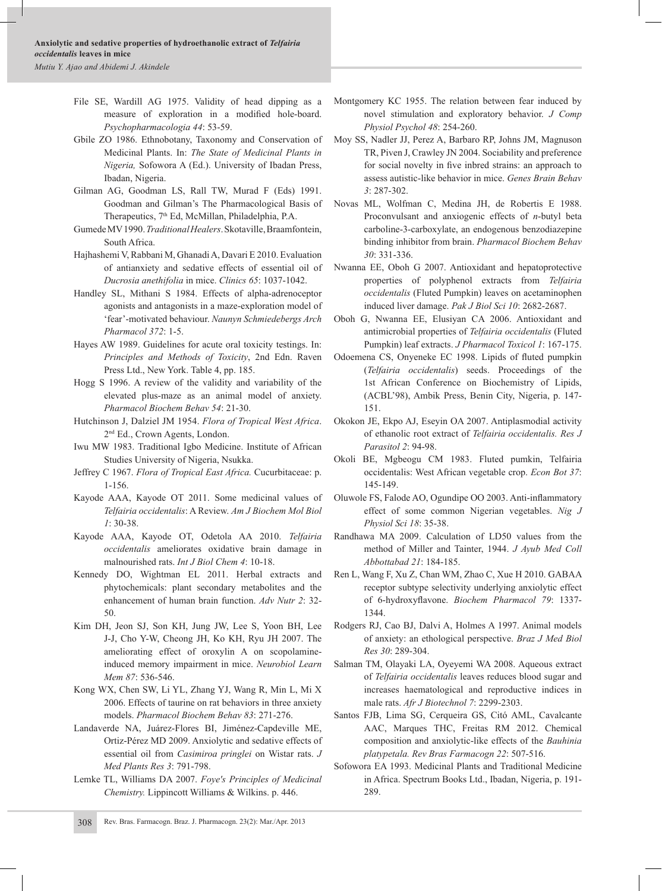- File SE, Wardill AG 1975. Validity of head dipping as a measure of exploration in a modified hole-board. *Psychopharmacologia 44*: 53-59.
- Gbile ZO 1986. Ethnobotany, Taxonomy and Conservation of Medicinal Plants. In: *The State of Medicinal Plants in Nigeria,* Sofowora A (Ed.). University of Ibadan Press, Ibadan, Nigeria.
- Gilman AG, Goodman LS, Rall TW, Murad F (Eds) 1991. Goodman and Gilman's The Pharmacological Basis of Therapeutics, 7th Ed, McMillan, Philadelphia, P.A.
- Gumede MV 1990. *Traditional Healers*. Skotaville, Braamfontein, South Africa.
- Hajhashemi V, Rabbani M, Ghanadi A, Davari E 2010. Evaluation of antianxiety and sedative effects of essential oil of *Ducrosia anethifolia* in mice. *Clinics 65*: 1037-1042.
- Handley SL, Mithani S 1984. Effects of alpha-adrenoceptor agonists and antagonists in a maze-exploration model of 'fear'-motivated behaviour. *Naunyn Schmiedebergs Arch Pharmacol 372*: 1-5.
- Hayes AW 1989. Guidelines for acute oral toxicity testings. In: *Principles and Methods of Toxicity*, 2nd Edn. Raven Press Ltd., New York. Table 4, pp. 185.
- Hogg S 1996. A review of the validity and variability of the elevated plus-maze as an animal model of anxiety. *Pharmacol Biochem Behav 54*: 21-30.
- Hutchinson J, Dalziel JM 1954. *Flora of Tropical West Africa*. 2nd Ed., Crown Agents, London.
- Iwu MW 1983. Traditional Igbo Medicine. Institute of African Studies University of Nigeria, Nsukka.
- Jeffrey C 1967. *Flora of Tropical East Africa.* Cucurbitaceae: p. 1-156.
- Kayode AAA, Kayode OT 2011. Some medicinal values of *Telfairia occidentalis*: A Review. *Am J Biochem Mol Biol 1*: 30-38.
- Kayode AAA, Kayode OT, Odetola AA 2010. *Telfairia occidentalis* ameliorates oxidative brain damage in malnourished rats. *Int J Biol Chem 4*: 10-18.
- Kennedy DO, Wightman EL 2011. Herbal extracts and phytochemicals: plant secondary metabolites and the enhancement of human brain function. *Adv Nutr 2*: 32- 50.
- Kim DH, Jeon SJ, Son KH, Jung JW, Lee S, Yoon BH, Lee J-J, Cho Y-W, Cheong JH, Ko KH, Ryu JH 2007. The ameliorating effect of oroxylin A on scopolamineinduced memory impairment in mice. *Neurobiol Learn Mem 87*: 536-546.
- Kong WX, Chen SW, Li YL, Zhang YJ, Wang R, Min L, Mi X 2006. Effects of taurine on rat behaviors in three anxiety models. *Pharmacol Biochem Behav 83*: 271-276.
- Landaverde NA, Juárez-Flores BI, Jiménez-Capdeville ME, Ortiz-Pérez MD 2009. Anxiolytic and sedative effects of essential oil from *Casimiroa pringlei* on Wistar rats. *J Med Plants Res 3*: 791-798.
- Lemke TL, Williams DA 2007. *Foye's Principles of Medicinal Chemistry.* Lippincott Williams & Wilkins. p. 446.
- Montgomery KC 1955. The relation between fear induced by novel stimulation and exploratory behavior. *J Comp Physiol Psychol 48*: 254-260.
- Moy SS, Nadler JJ, Perez A, Barbaro RP, Johns JM, Magnuson TR, Piven J, Crawley JN 2004. Sociability and preference for social novelty in five inbred strains: an approach to assess autistic-like behavior in mice. *Genes Brain Behav 3*: 287-302.
- Novas ML, Wolfman C, Medina JH, de Robertis E 1988. Proconvulsant and anxiogenic effects of *n*-butyl beta carboline-3-carboxylate, an endogenous benzodiazepine binding inhibitor from brain. *Pharmacol Biochem Behav 30*: 331-336.
- Nwanna EE, Oboh G 2007. Antioxidant and hepatoprotective properties of polyphenol extracts from *Telfairia occidentalis* (Fluted Pumpkin) leaves on acetaminophen induced liver damage. *Pak J Biol Sci 10*: 2682-2687.
- Oboh G, Nwanna EE, Elusiyan CA 2006. Antioxidant and antimicrobial properties of *Telfairia occidentalis* (Fluted Pumpkin) leaf extracts. *J Pharmacol Toxicol 1*: 167-175.
- Odoemena CS, Onyeneke EC 1998. Lipids of fluted pumpkin (*Telfairia occidentalis*) seeds. Proceedings of the 1st African Conference on Biochemistry of Lipids, (ACBL'98), Ambik Press, Benin City, Nigeria, p. 147- 151.
- Okokon JE, Ekpo AJ, Eseyin OA 2007. Antiplasmodial activity of ethanolic root extract of *Telfairia occidentalis. Res J Parasitol 2*: 94-98.
- Okoli BE, Mgbeogu CM 1983. Fluted pumkin, Telfairia occidentalis: West African vegetable crop. *Econ Bot 37*: 145-149.
- Oluwole FS, Falode AO, Ogundipe OO 2003. Anti-inflammatory effect of some common Nigerian vegetables. *Nig J Physiol Sci 18*: 35-38.
- Randhawa MA 2009. Calculation of LD50 values from the method of Miller and Tainter, 1944. *J Ayub Med Coll Abbottabad 21*: 184-185.
- Ren L, Wang F, Xu Z, Chan WM, Zhao C, Xue H 2010. GABAA receptor subtype selectivity underlying anxiolytic effect of 6-hydroxyflavone. *Biochem Pharmacol 79*: 1337- 1344.
- Rodgers RJ, Cao BJ, Dalvi A, Holmes A 1997. Animal models of anxiety: an ethological perspective. *Braz J Med Biol Res 30*: 289-304.
- Salman TM, Olayaki LA, Oyeyemi WA 2008. Aqueous extract of *Telfairia occidentalis* leaves reduces blood sugar and increases haematological and reproductive indices in male rats. *Afr J Biotechnol 7*: 2299-2303.
- Santos FJB, Lima SG, Cerqueira GS, Citó AML, Cavalcante AAC, Marques THC, Freitas RM 2012. Chemical composition and anxiolytic-like effects of the *Bauhinia platypetala. Rev Bras Farmacogn 22*: 507-516.
- Sofowora EA 1993. Medicinal Plants and Traditional Medicine in Africa. Spectrum Books Ltd., Ibadan, Nigeria, p. 191- 289.